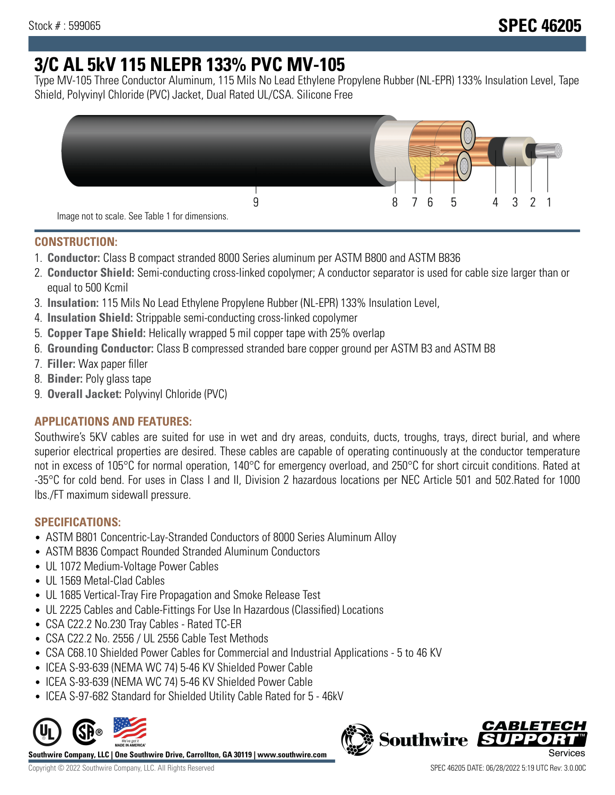# **3/C AL 5kV 115 NLEPR 133% PVC MV-105**

Type MV-105 Three Conductor Aluminum, 115 Mils No Lead Ethylene Propylene Rubber (NL-EPR) 133% Insulation Level, Tape Shield, Polyvinyl Chloride (PVC) Jacket, Dual Rated UL/CSA. Silicone Free



### **CONSTRUCTION:**

- 1. **Conductor:** Class B compact stranded 8000 Series aluminum per ASTM B800 and ASTM B836
- 2. **Conductor Shield:** Semi-conducting cross-linked copolymer; A conductor separator is used for cable size larger than or equal to 500 Kcmil
- 3. **Insulation:** 115 Mils No Lead Ethylene Propylene Rubber (NL-EPR) 133% Insulation Level,
- 4. **Insulation Shield:** Strippable semi-conducting cross-linked copolymer
- 5. **Copper Tape Shield:** Helically wrapped 5 mil copper tape with 25% overlap
- 6. **Grounding Conductor:** Class B compressed stranded bare copper ground per ASTM B3 and ASTM B8
- 7. **Filler:** Wax paper filler
- 8. **Binder:** Poly glass tape
- 9. **Overall Jacket:** Polyvinyl Chloride (PVC)

# **APPLICATIONS AND FEATURES:**

Southwire's 5KV cables are suited for use in wet and dry areas, conduits, ducts, troughs, trays, direct burial, and where superior electrical properties are desired. These cables are capable of operating continuously at the conductor temperature not in excess of 105°C for normal operation, 140°C for emergency overload, and 250°C for short circuit conditions. Rated at -35°C for cold bend. For uses in Class I and II, Division 2 hazardous locations per NEC Article 501 and 502.Rated for 1000 lbs./FT maximum sidewall pressure.

# **SPECIFICATIONS:**

- ASTM B801 Concentric-Lay-Stranded Conductors of 8000 Series Aluminum Alloy
- ASTM B836 Compact Rounded Stranded Aluminum Conductors
- UL 1072 Medium-Voltage Power Cables
- UL 1569 Metal-Clad Cables
- UL 1685 Vertical-Tray Fire Propagation and Smoke Release Test
- UL 2225 Cables and Cable-Fittings For Use In Hazardous (Classified) Locations
- CSA C22.2 No.230 Tray Cables Rated TC-ER
- CSA C22.2 No. 2556 / UL 2556 Cable Test Methods
- CSA C68.10 Shielded Power Cables for Commercial and Industrial Applications 5 to 46 KV
- ICEA S-93-639 (NEMA WC 74) 5-46 KV Shielded Power Cable
- ICEA S-93-639 (NEMA WC 74) 5-46 KV Shielded Power Cable
- ICEA S-97-682 Standard for Shielded Utility Cable Rated for 5 46kV



**Southwire Company, LLC | One Southwire Drive, Carrollton, GA 30119 | www.southwire.com**